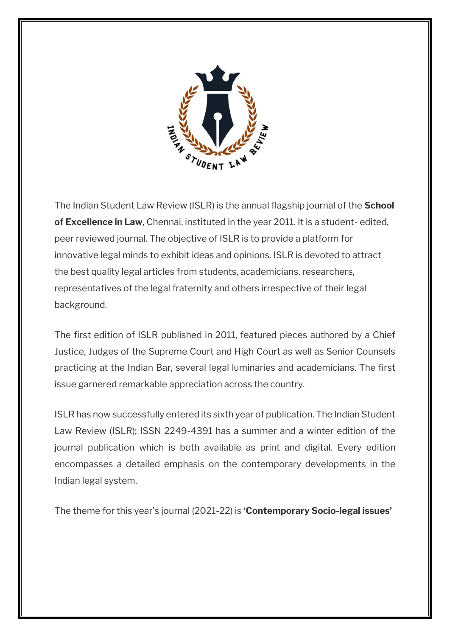

The Indian Student Law Review (ISLR) is the annual flagship journal of the **School of Excellence in Law**, Chennai, instituted in the year 2011. It is a student- edited, peer reviewed journal. The objective of ISLR is to provide a platform for innovative legal minds to exhibit ideas and opinions. ISLR is devoted to attract the best quality legal articles from students, academicians, researchers, representatives of the legal fraternity and others irrespective of their legal background.

The first edition of ISLR published in 2011, featured pieces authored by a Chief Justice, Judges of the Supreme Court and High Court as well as Senior Counsels practicing at the Indian Bar, several legal luminaries and academicians. The first issue garnered remarkable appreciation across the country.

ISLR has now successfully entered its sixth year of publication. The Indian Student Law Review (ISLR); ISSN 2249-4391 has a summer and a winter edition of the journal publication which is both available as print and digital. Every edition encompasses a detailed emphasis on the contemporary developments in the Indian legal system.

The theme for this year's journal (2021-22) is **'Contemporary Socio-legal issues'**